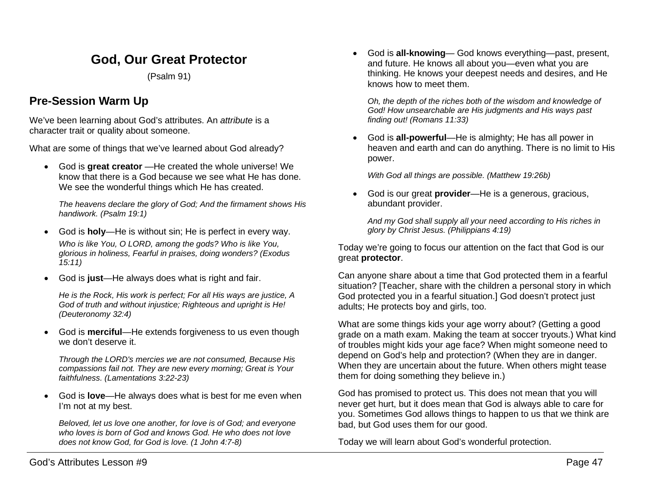# **God, Our Great Protector**

(Psalm 91)

## **Pre-Session Warm Up**

We've been learning about God's attributes. An *attribute* is a character trait or quality about someone.

What are some of things that we've learned about God already?

• God is **great creator** —He created the whole universe! We know that there is a God because we see what He has done. We see the wonderful things which He has created.

*The heavens declare the glory of God; And the firmament shows His handiwork. (Psalm 19:1)*

- God is **holy**—He is without sin; He is perfect in every way. *Who is like You, O LORD, among the gods? Who is like You, glorious in holiness, Fearful in praises, doing wonders? (Exodus 15:11)*
- God is **just**—He always does what is right and fair.

*He is the Rock, His work is perfect; For all His ways are justice, A God of truth and without injustice; Righteous and upright is He! (Deuteronomy 32:4)*

• God is **merciful**—He extends forgiveness to us even though we don't deserve it.

*Through the LORD's mercies we are not consumed, Because His compassions fail not. They are new every morning; Great is Your faithfulness. (Lamentations 3:22-23)*

• God is **love**—He always does what is best for me even when I'm not at my best.

*Beloved, let us love one another, for love is of God; and everyone who loves is born of God and knows God. He who does not love does not know God, for God is love. (1 John 4:7-8)*

• God is **all-knowing**— God knows everything—past, present, and future. He knows all about you—even what you are thinking. He knows your deepest needs and desires, and He knows how to meet them.

*Oh, the depth of the riches both of the wisdom and knowledge of God! How unsearchable are His judgments and His ways past finding out! (Romans 11:33)*

• God is **all-powerful**—He is almighty; He has all power in heaven and earth and can do anything. There is no limit to His power.

*With God all things are possible. (Matthew 19:26b)*

• God is our great **provider**—He is a generous, gracious, abundant provider.

*And my God shall supply all your need according to His riches in glory by Christ Jesus. (Philippians 4:19)*

Today we're going to focus our attention on the fact that God is our great **protector**.

Can anyone share about a time that God protected them in a fearful situation? [Teacher, share with the children a personal story in which God protected you in a fearful situation.] God doesn't protect just adults; He protects boy and girls, too.

What are some things kids your age worry about? (Getting a good grade on a math exam. Making the team at soccer tryouts.) What kind of troubles might kids your age face? When might someone need to depend on God's help and protection? (When they are in danger. When they are uncertain about the future. When others might tease them for doing something they believe in.)

God has promised to protect us. This does not mean that you will never get hurt, but it does mean that God is always able to care for you. Sometimes God allows things to happen to us that we think are bad, but God uses them for our good.

Today we will learn about God's wonderful protection.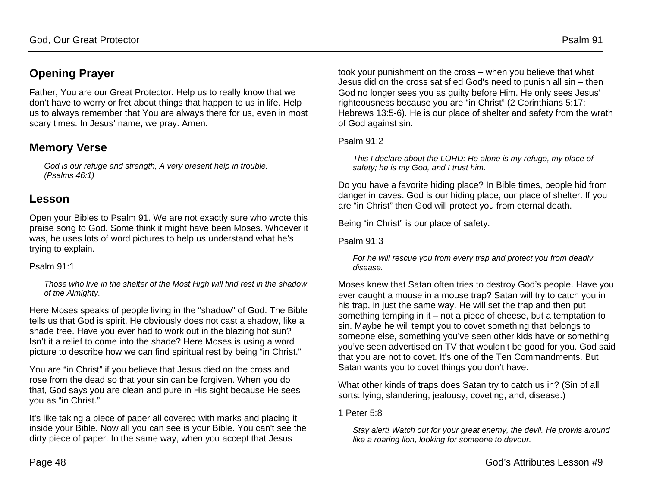# **Opening Prayer**

Father, You are our Great Protector. Help us to really know that we don't have to worry or fret about things that happen to us in life. Help us to always remember that You are always there for us, even in most scary times. In Jesus' name, we pray. Amen.

## **Memory Verse**

*God is our refuge and strength, A very present help in trouble. (Psalms 46:1)*

### **Lesson**

Open your Bibles to Psalm 91. We are not exactly sure who wrote this praise song to God. Some think it might have been Moses. Whoever it was, he uses lots of word pictures to help us understand what he's trying to explain.

Psalm 91:1

*Those who live in the shelter of the Most High will find rest in the shadow of the Almighty.*

Here Moses speaks of people living in the "shadow" of God. The Bible tells us that God is spirit. He obviously does not cast a shadow, like a shade tree. Have you ever had to work out in the blazing hot sun? Isn't it a relief to come into the shade? Here Moses is using a word picture to describe how we can find spiritual rest by being "in Christ."

You are "in Christ" if you believe that Jesus died on the cross and rose from the dead so that your sin can be forgiven. When you do that, God says you are clean and pure in His sight because He sees you as "in Christ."

It's like taking a piece of paper all covered with marks and placing it inside your Bible. Now all you can see is your Bible. You can't see the dirty piece of paper. In the same way, when you accept that Jesus

took your punishment on the cross – when you believe that what Jesus did on the cross satisfied God's need to punish all sin – then God no longer sees you as guilty before Him. He only sees Jesus' righteousness because you are "in Christ" (2 Corinthians 5:17; Hebrews 13:5-6). He is our place of shelter and safety from the wrath of God against sin.

Psalm 91:2

*This I declare about the LORD: He alone is my refuge, my place of safety; he is my God, and I trust him.*

Do you have a favorite hiding place? In Bible times, people hid from danger in caves. God is our hiding place, our place of shelter. If you are "in Christ" then God will protect you from eternal death.

Being "in Christ" is our place of safety.

Psalm 91:3

*For he will rescue you from every trap and protect you from deadly disease.* 

Moses knew that Satan often tries to destroy God's people. Have you ever caught a mouse in a mouse trap? Satan will try to catch you in his trap, in just the same way. He will set the trap and then put something temping in it – not a piece of cheese, but a temptation to sin. Maybe he will tempt you to covet something that belongs to someone else, something you've seen other kids have or something you've seen advertised on TV that wouldn't be good for you. God said that you are not to covet. It's one of the Ten Commandments. But Satan wants you to covet things you don't have.

What other kinds of traps does Satan try to catch us in? (Sin of all sorts: lying, slandering, jealousy, coveting, and, disease.)

1 Peter 5:8

*Stay alert! Watch out for your great enemy, the devil. He prowls around like a roaring lion, looking for someone to devour.*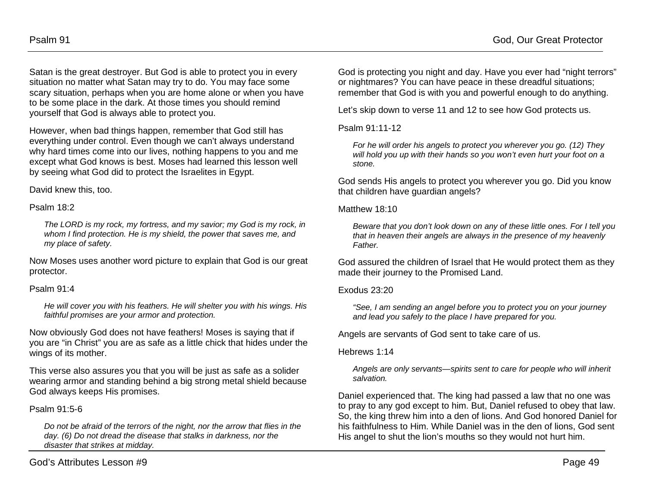Satan is the great destroyer. But God is able to protect you in every situation no matter what Satan may try to do. You may face some scary situation, perhaps when you are home alone or when you have to be some place in the dark. At those times you should remind yourself that God is always able to protect you.

However, when bad things happen, remember that God still has everything under control. Even though we can't always understand why hard times come into our lives, nothing happens to you and me except what God knows is best. Moses had learned this lesson well by seeing what God did to protect the Israelites in Egypt.

David knew this, too.

Psalm 18:2

*The LORD is my rock, my fortress, and my savior; my God is my rock, in whom I find protection. He is my shield, the power that saves me, and my place of safety.*

Now Moses uses another word picture to explain that God is our great protector.

#### Psalm 91:4

*He will cover you with his feathers. He will shelter you with his wings. His faithful promises are your armor and protection.*

Now obviously God does not have feathers! Moses is saying that if you are "in Christ" you are as safe as a little chick that hides under the wings of its mother.

This verse also assures you that you will be just as safe as a solider wearing armor and standing behind a big strong metal shield because God always keeps His promises.

#### Psalm 91:5-6

*Do not be afraid of the terrors of the night, nor the arrow that flies in the day. (6) Do not dread the disease that stalks in darkness, nor the disaster that strikes at midday.*

God is protecting you night and day. Have you ever had "night terrors" or nightmares? You can have peace in these dreadful situations; remember that God is with you and powerful enough to do anything.

Let's skip down to verse 11 and 12 to see how God protects us.

Psalm 91:11-12

*For he will order his angels to protect you wherever you go. (12) They will hold you up with their hands so you won't even hurt your foot on a stone.* 

God sends His angels to protect you wherever you go. Did you know that children have guardian angels?

Matthew 18:10

*Beware that you don't look down on any of these little ones. For I tell you that in heaven their angels are always in the presence of my heavenly Father.*

God assured the children of Israel that He would protect them as they made their journey to the Promised Land.

Exodus 23:20

*"See, I am sending an angel before you to protect you on your journey and lead you safely to the place I have prepared for you.* 

Angels are servants of God sent to take care of us.

Hebrews 1:14

*Angels are only servants—spirits sent to care for people who will inherit salvation.*

Daniel experienced that. The king had passed a law that no one was to pray to any god except to him. But, Daniel refused to obey that law. So, the king threw him into a den of lions. And God honored Daniel for his faithfulness to Him. While Daniel was in the den of lions, God sent His angel to shut the lion's mouths so they would not hurt him.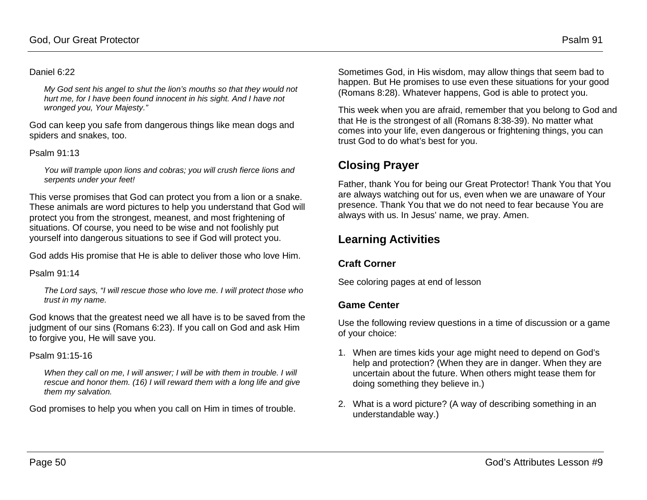#### Daniel 6:22

*My God sent his angel to shut the lion's mouths so that they would not hurt me, for I have been found innocent in his sight. And I have not wronged you, Your Majesty."*

God can keep you safe from dangerous things like mean dogs and spiders and snakes, too.

### Psalm 91:13

*You will trample upon lions and cobras; you will crush fierce lions and serpents under your feet!*

This verse promises that God can protect you from a lion or a snake. These animals are word pictures to help you understand that God will protect you from the strongest, meanest, and most frightening of situations. Of course, you need to be wise and not foolishly put yourself into dangerous situations to see if God will protect you.

God adds His promise that He is able to deliver those who love Him.

#### Psalm 91:14

*The Lord says, "I will rescue those who love me. I will protect those who trust in my name.*

God knows that the greatest need we all have is to be saved from the judgment of our sins (Romans 6:23). If you call on God and ask Him to forgive you, He will save you.

### Psalm 91:15-16

*When they call on me, I will answer; I will be with them in trouble. I will rescue and honor them. (16) I will reward them with a long life and give them my salvation.*

God promises to help you when you call on Him in times of trouble.

Sometimes God, in His wisdom, may allow things that seem bad to happen. But He promises to use even these situations for your good (Romans 8:28). Whatever happens, God is able to protect you.

This week when you are afraid, remember that you belong to God and that He is the strongest of all (Romans 8:38-39). No matter what comes into your life, even dangerous or frightening things, you can trust God to do what's best for you.

## **Closing Prayer**

Father, thank You for being our Great Protector! Thank You that You are always watching out for us, even when we are unaware of Your presence. Thank You that we do not need to fear because You are always with us. In Jesus' name, we pray. Amen.

## **Learning Activities**

### **Craft Corner**

See coloring pages at end of lesson

### **Game Center**

Use the following review questions in a time of discussion or a game of your choice:

- 1. When are times kids your age might need to depend on God's help and protection? (When they are in danger. When they are uncertain about the future. When others might tease them for doing something they believe in.)
- 2. What is a word picture? (A way of describing something in an understandable way.)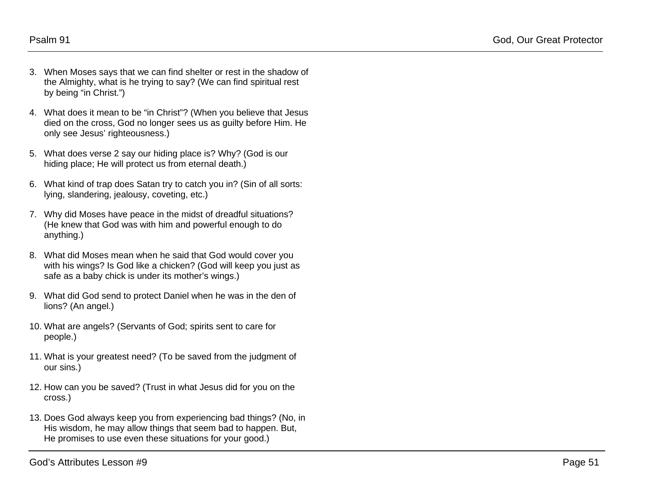- 3. When Moses says that we can find shelter or rest in the shadow of the Almighty, what is he trying to say? (We can find spiritual rest by being "in Christ.")
- 4. What does it mean to be "in Christ"? (When you believe that Jesus died on the cross, God no longer sees us as guilty before Him. He only see Jesus' righteousness.)
- 5. What does verse 2 say our hiding place is? Why? (God is our hiding place; He will protect us from eternal death.)
- 6. What kind of trap does Satan try to catch you in? (Sin of all sorts: lying, slandering, jealousy, coveting, etc.)
- 7. Why did Moses have peace in the midst of dreadful situations? (He knew that God was with him and powerful enough to do anything.)
- 8. What did Moses mean when he said that God would cover you with his wings? Is God like a chicken? (God will keep you just as safe as a baby chick is under its mother's wings.)
- 9. What did God send to protect Daniel when he was in the den of lions? (An angel.)
- 10. What are angels? (Servants of God; spirits sent to care for people.)
- 11. What is your greatest need? (To be saved from the judgment of our sins.)
- 12. How can you be saved? (Trust in what Jesus did for you on the cross.)
- 13. Does God always keep you from experiencing bad things? (No, in His wisdom, he may allow things that seem bad to happen. But, He promises to use even these situations for your good.)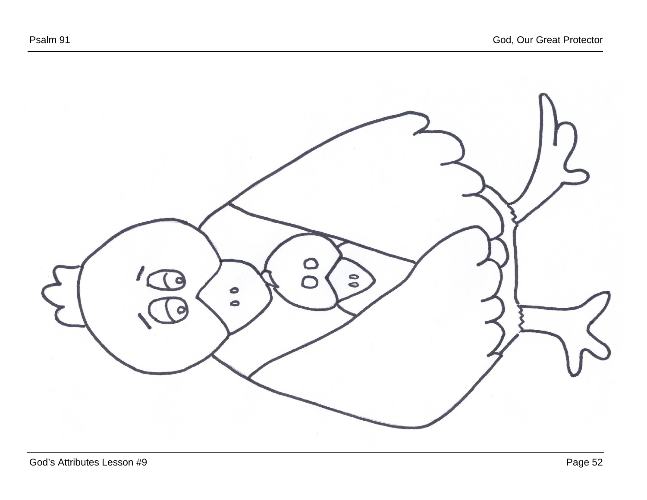